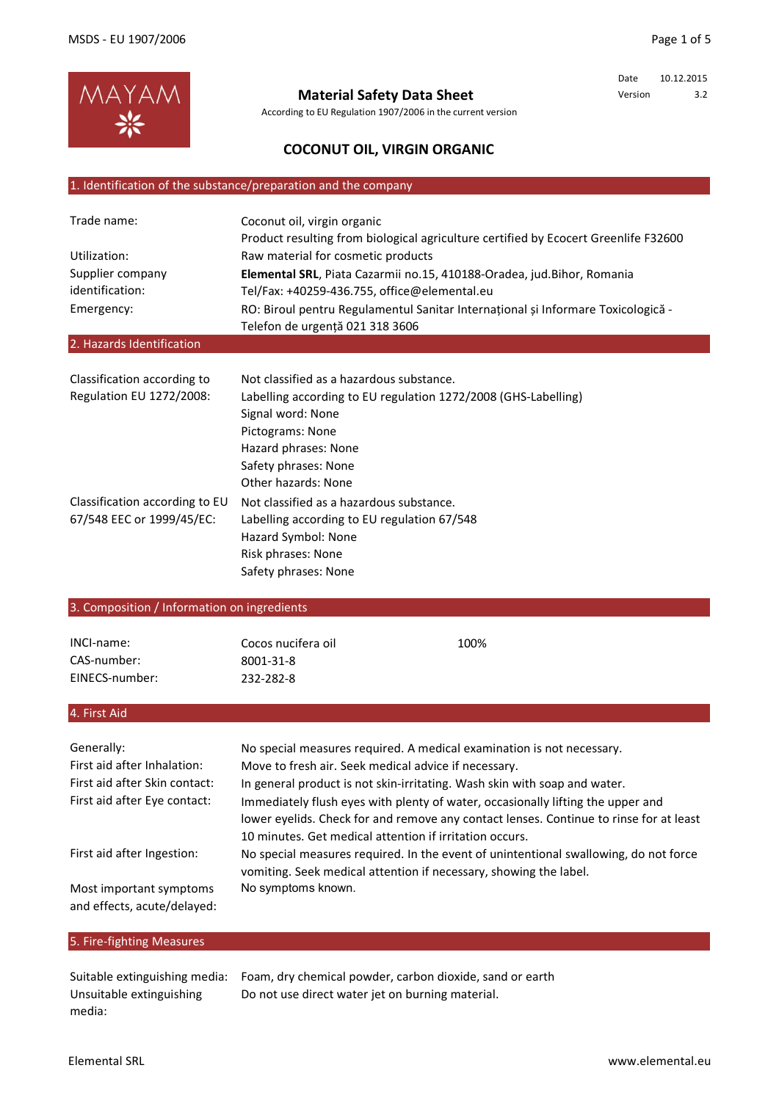

**Material Safety Data Sheet**

According to EU Regulation 1907/2006 in the current version

Date 10.12.2015 Version 3.2

# **COCONUT OIL, VIRGIN ORGANIC**

### 1. Identification of the substance/preparation and the company

| Trade name:<br>Utilization:<br>Supplier company<br>identification: | Coconut oil, virgin organic<br>Product resulting from biological agriculture certified by Ecocert Greenlife F32600<br>Raw material for cosmetic products<br>Elemental SRL, Piata Cazarmii no.15, 410188-Oradea, jud.Bihor, Romania<br>Tel/Fax: +40259-436.755, office@elemental.eu |
|--------------------------------------------------------------------|------------------------------------------------------------------------------------------------------------------------------------------------------------------------------------------------------------------------------------------------------------------------------------|
| Emergency:                                                         | RO: Biroul pentru Regulamentul Sanitar Internațional și Informare Toxicologică -<br>Telefon de urgență 021 318 3606                                                                                                                                                                |
| 2. Hazards Identification                                          |                                                                                                                                                                                                                                                                                    |
| Classification according to<br>Regulation EU 1272/2008:            | Not classified as a hazardous substance.<br>Labelling according to EU regulation 1272/2008 (GHS-Labelling)<br>Signal word: None<br>Pictograms: None<br>Hazard phrases: None<br>Safety phrases: None<br>Other hazards: None                                                         |
| Classification according to EU<br>67/548 EEC or 1999/45/EC:        | Not classified as a hazardous substance.<br>Labelling according to EU regulation 67/548<br>Hazard Symbol: None<br>Risk phrases: None<br>Safety phrases: None                                                                                                                       |

### 3. Composition / Information on ingredients

| INCI-name:     | Cocos nucifera oil | 100% |  |
|----------------|--------------------|------|--|
| CAS-number:    | 8001-31-8          |      |  |
| EINECS-number: | 232-282-8          |      |  |
|                |                    |      |  |

# 4. First Aid

| Generally:<br>First aid after Inhalation:<br>First aid after Skin contact:<br>First aid after Eye contact: | No special measures required. A medical examination is not necessary.<br>Move to fresh air. Seek medical advice if necessary.<br>In general product is not skin-irritating. Wash skin with soap and water.<br>Immediately flush eyes with plenty of water, occasionally lifting the upper and |
|------------------------------------------------------------------------------------------------------------|-----------------------------------------------------------------------------------------------------------------------------------------------------------------------------------------------------------------------------------------------------------------------------------------------|
|                                                                                                            | lower eyelids. Check for and remove any contact lenses. Continue to rinse for at least<br>10 minutes. Get medical attention if irritation occurs.                                                                                                                                             |
| First aid after Ingestion:                                                                                 | No special measures required. In the event of unintentional swallowing, do not force<br>vomiting. Seek medical attention if necessary, showing the label.                                                                                                                                     |
| Most important symptoms<br>and effects, acute/delayed:                                                     | No symptoms known.                                                                                                                                                                                                                                                                            |

#### 5. Fire-fighting Measures

|                          | Suitable extinguishing media: Foam, dry chemical powder, carbon dioxide, sand or earth |
|--------------------------|----------------------------------------------------------------------------------------|
| Unsuitable extinguishing | Do not use direct water jet on burning material.                                       |
| media:                   |                                                                                        |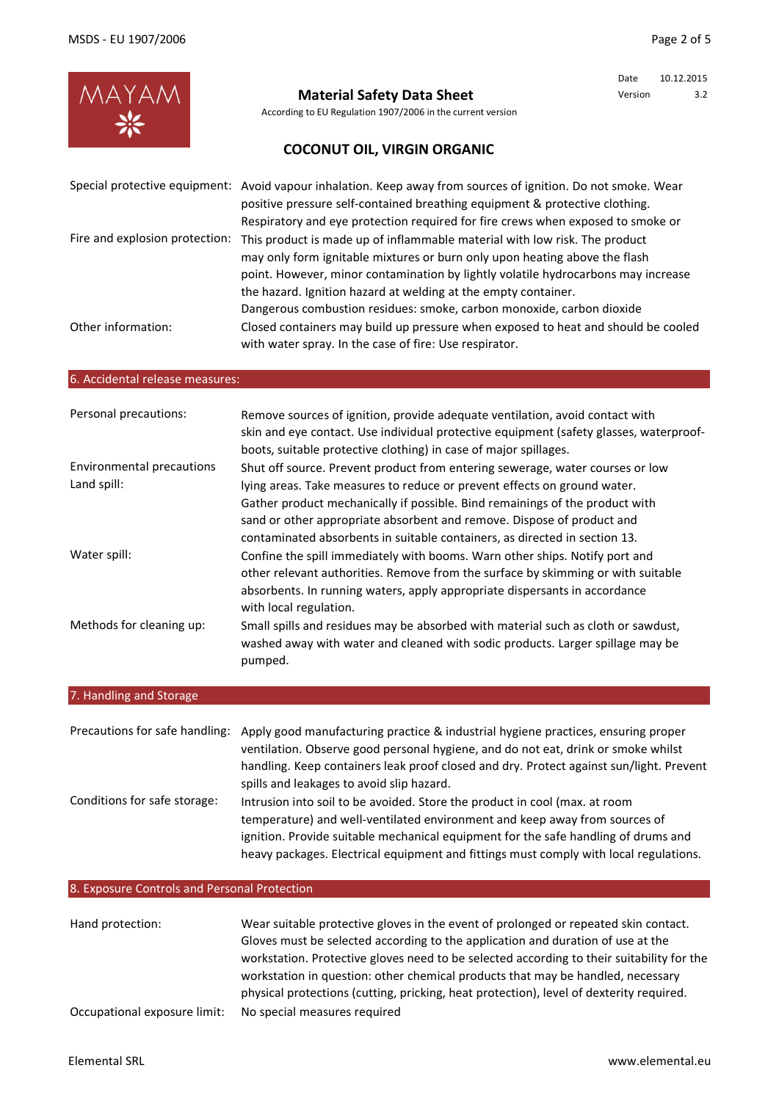

According to EU Regulation 1907/2006 in the current version **Material Safety Data Sheet**

Date 10.12.2015 Version 3.2

# **COCONUT OIL, VIRGIN ORGANIC**

|                                | Special protective equipment: Avoid vapour inhalation. Keep away from sources of ignition. Do not smoke. Wear<br>positive pressure self-contained breathing equipment & protective clothing.<br>Respiratory and eye protection required for fire crews when exposed to smoke or |
|--------------------------------|---------------------------------------------------------------------------------------------------------------------------------------------------------------------------------------------------------------------------------------------------------------------------------|
| Fire and explosion protection: | This product is made up of inflammable material with low risk. The product<br>may only form ignitable mixtures or burn only upon heating above the flash                                                                                                                        |
|                                | point. However, minor contamination by lightly volatile hydrocarbons may increase<br>the hazard. Ignition hazard at welding at the empty container.                                                                                                                             |
|                                | Dangerous combustion residues: smoke, carbon monoxide, carbon dioxide                                                                                                                                                                                                           |
| Other information:             | Closed containers may build up pressure when exposed to heat and should be cooled<br>with water spray. In the case of fire: Use respirator.                                                                                                                                     |

### 6. Accidental release measures:

| Personal precautions:     | Remove sources of ignition, provide adequate ventilation, avoid contact with<br>skin and eye contact. Use individual protective equipment (safety glasses, waterproof-<br>boots, suitable protective clothing) in case of major spillages. |
|---------------------------|--------------------------------------------------------------------------------------------------------------------------------------------------------------------------------------------------------------------------------------------|
| Environmental precautions | Shut off source. Prevent product from entering sewerage, water courses or low                                                                                                                                                              |
| Land spill:               | lying areas. Take measures to reduce or prevent effects on ground water.                                                                                                                                                                   |
|                           | Gather product mechanically if possible. Bind remainings of the product with                                                                                                                                                               |
|                           | sand or other appropriate absorbent and remove. Dispose of product and                                                                                                                                                                     |
|                           | contaminated absorbents in suitable containers, as directed in section 13.                                                                                                                                                                 |
| Water spill:              | Confine the spill immediately with booms. Warn other ships. Notify port and                                                                                                                                                                |
|                           | other relevant authorities. Remove from the surface by skimming or with suitable                                                                                                                                                           |
|                           | absorbents. In running waters, apply appropriate dispersants in accordance<br>with local regulation.                                                                                                                                       |
| Methods for cleaning up:  | Small spills and residues may be absorbed with material such as cloth or sawdust,<br>washed away with water and cleaned with sodic products. Larger spillage may be<br>pumped.                                                             |

### 7. Handling and Storage

| Precautions for safe handling: | Apply good manufacturing practice & industrial hygiene practices, ensuring proper<br>ventilation. Observe good personal hygiene, and do not eat, drink or smoke whilst<br>handling. Keep containers leak proof closed and dry. Protect against sun/light. Prevent<br>spills and leakages to avoid slip hazard.                          |
|--------------------------------|-----------------------------------------------------------------------------------------------------------------------------------------------------------------------------------------------------------------------------------------------------------------------------------------------------------------------------------------|
| Conditions for safe storage:   | Intrusion into soil to be avoided. Store the product in cool (max. at room<br>temperature) and well-ventilated environment and keep away from sources of<br>ignition. Provide suitable mechanical equipment for the safe handling of drums and<br>heavy packages. Electrical equipment and fittings must comply with local regulations. |

### 8. Exposure Controls and Personal Protection

| Hand protection:             | Wear suitable protective gloves in the event of prolonged or repeated skin contact.<br>Gloves must be selected according to the application and duration of use at the       |
|------------------------------|------------------------------------------------------------------------------------------------------------------------------------------------------------------------------|
|                              | workstation. Protective gloves need to be selected according to their suitability for the<br>workstation in question: other chemical products that may be handled, necessary |
|                              | physical protections (cutting, pricking, heat protection), level of dexterity required.                                                                                      |
| Occupational exposure limit: | No special measures required                                                                                                                                                 |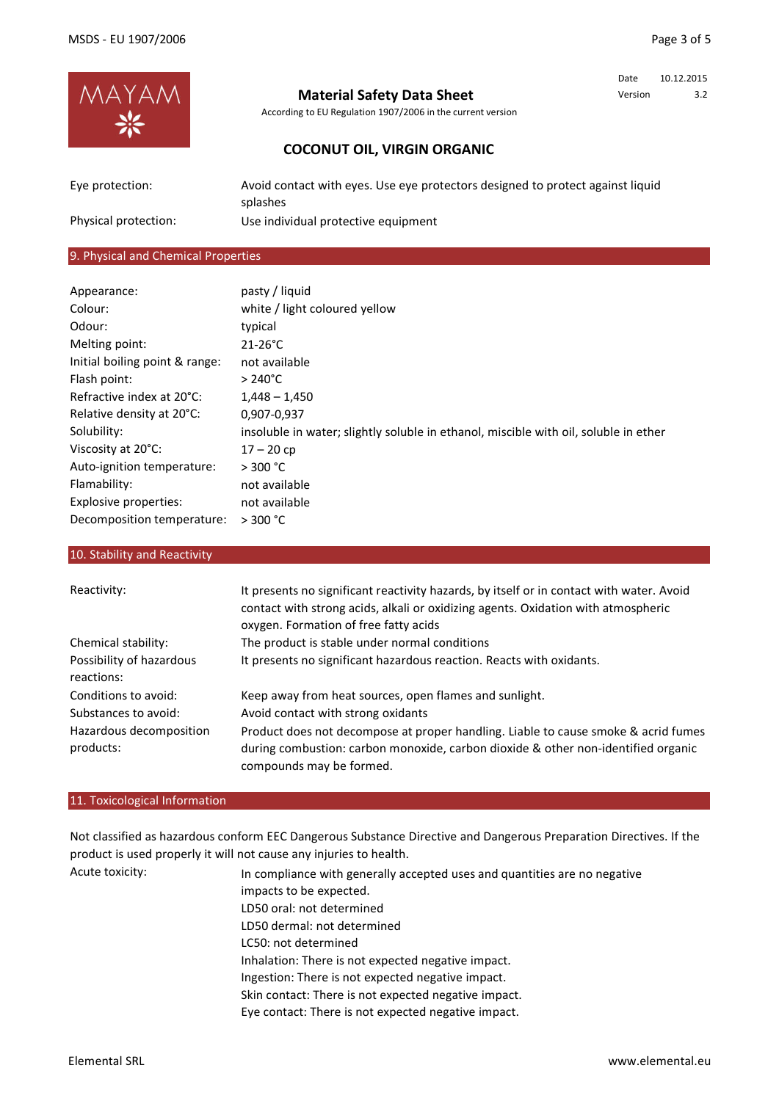Date 10.12.2015 Version 3.2



### **Material Safety Data Sheet**

According to EU Regulation 1907/2006 in the current version

### **COCONUT OIL, VIRGIN ORGANIC**

| Eye protection:      | Avoid contact with eyes. Use eye protectors designed to protect against liquid |
|----------------------|--------------------------------------------------------------------------------|
|                      | splashes                                                                       |
| Physical protection: | Use individual protective equipment                                            |

#### 9. Physical and Chemical Properties

| Appearance:                    | pasty / liquid                                                                       |
|--------------------------------|--------------------------------------------------------------------------------------|
| Colour:                        | white / light coloured yellow                                                        |
| Odour:                         | typical                                                                              |
| Melting point:                 | $21-26$ °C                                                                           |
| Initial boiling point & range: | not available                                                                        |
| Flash point:                   | $> 240^{\circ}$ C                                                                    |
| Refractive index at 20°C:      | $1,448 - 1,450$                                                                      |
| Relative density at 20°C:      | 0,907-0,937                                                                          |
| Solubility:                    | insoluble in water; slightly soluble in ethanol, miscible with oil, soluble in ether |
| Viscosity at 20°C:             | $17 - 20$ cp                                                                         |
| Auto-ignition temperature:     | > 300 °C                                                                             |
| Flamability:                   | not available                                                                        |
| Explosive properties:          | not available                                                                        |
| Decomposition temperature:     | > 300 °C                                                                             |

### 10. Stability and Reactivity

| Reactivity:                            | It presents no significant reactivity hazards, by itself or in contact with water. Avoid<br>contact with strong acids, alkali or oxidizing agents. Oxidation with atmospheric<br>oxygen. Formation of free fatty acids |
|----------------------------------------|------------------------------------------------------------------------------------------------------------------------------------------------------------------------------------------------------------------------|
| Chemical stability:                    | The product is stable under normal conditions                                                                                                                                                                          |
| Possibility of hazardous<br>reactions: | It presents no significant hazardous reaction. Reacts with oxidants.                                                                                                                                                   |
| Conditions to avoid:                   | Keep away from heat sources, open flames and sunlight.                                                                                                                                                                 |
| Substances to avoid:                   | Avoid contact with strong oxidants                                                                                                                                                                                     |
| Hazardous decomposition                | Product does not decompose at proper handling. Liable to cause smoke & acrid fumes                                                                                                                                     |
| products:                              | during combustion: carbon monoxide, carbon dioxide & other non-identified organic<br>compounds may be formed.                                                                                                          |

#### 11. Toxicological Information

Not classified as hazardous conform EEC Dangerous Substance Directive and Dangerous Preparation Directives. If the product is used properly it will not cause any injuries to health.

| In compliance with generally accepted uses and quantities are no negative |
|---------------------------------------------------------------------------|
|                                                                           |
|                                                                           |
|                                                                           |
|                                                                           |
|                                                                           |
|                                                                           |
|                                                                           |
|                                                                           |
|                                                                           |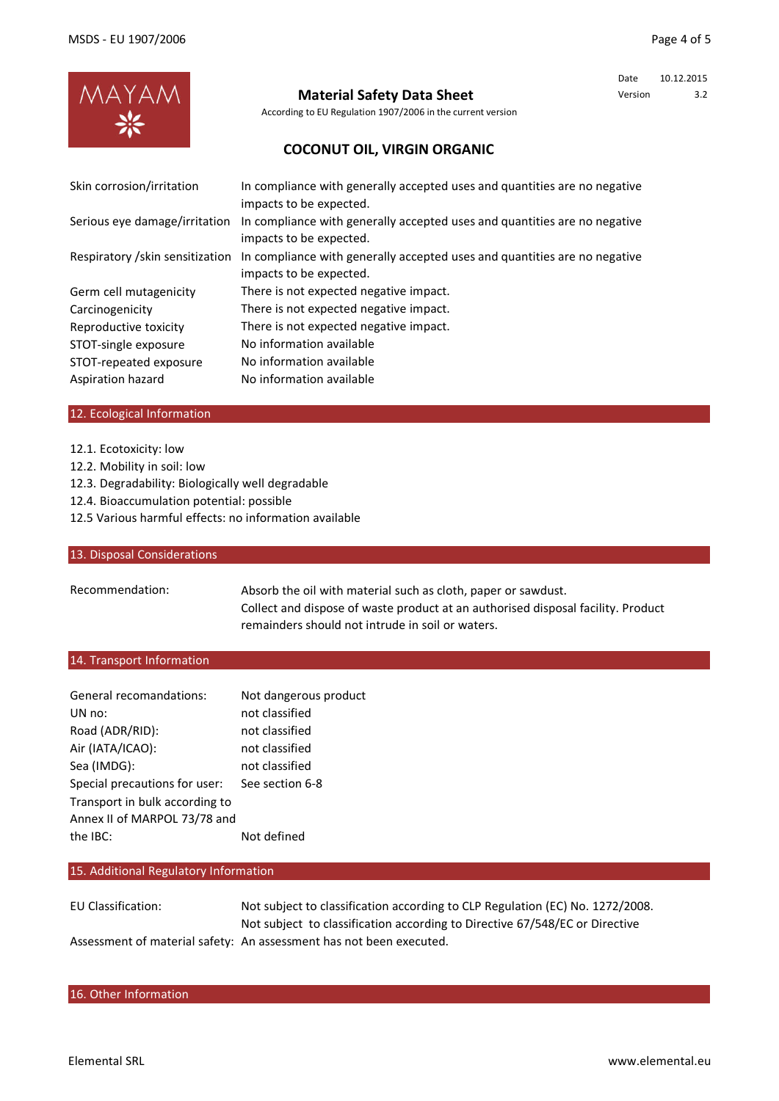|                                    |                                                                                                      | Date    | 10.12.2015 |  |
|------------------------------------|------------------------------------------------------------------------------------------------------|---------|------------|--|
|                                    | <b>Material Safety Data Sheet</b>                                                                    | Version | 3.2        |  |
| MAYAM<br>NA                        | According to EU Regulation 1907/2006 in the current version                                          |         |            |  |
| <b>COCONUT OIL, VIRGIN ORGANIC</b> |                                                                                                      |         |            |  |
| Skin corrosion/irritation          | In compliance with generally accepted uses and quantities are no negative<br>impacts to be expected. |         |            |  |
| Serious eye damage/irritation      | In compliance with generally accepted uses and quantities are no negative<br>impacts to be expected. |         |            |  |
| Respiratory / skin sensitization   | In compliance with generally accepted uses and quantities are no negative<br>impacts to be expected. |         |            |  |
| Germ cell mutagenicity             | There is not expected negative impact.                                                               |         |            |  |
| Carcinogenicity                    | There is not expected negative impact.                                                               |         |            |  |
| Reproductive toxicity              | There is not expected negative impact.                                                               |         |            |  |
| STOT-single exposure               | No information available                                                                             |         |            |  |
| STOT-repeated exposure             | No information available                                                                             |         |            |  |
| Aspiration hazard                  | No information available                                                                             |         |            |  |

#### 12. Ecological Information

- 12.1. Ecotoxicity: low
- 12.2. Mobility in soil: low
- 12.3. Degradability: Biologically well degradable
- 12.4. Bioaccumulation potential: possible
- 12.5 Various harmful effects: no information available

#### 13. Disposal Considerations

Recommendation: Absorb the oil with material such as cloth, paper or sawdust. Collect and dispose of waste product at an authorised disposal facility. Product remainders should not intrude in soil or waters.

#### 14. Transport Information

| General recomandations:        | Not dangerous product |  |  |
|--------------------------------|-----------------------|--|--|
| UN no:                         | not classified        |  |  |
| Road (ADR/RID):                | not classified        |  |  |
| Air (IATA/ICAO):               | not classified        |  |  |
| Sea (IMDG):                    | not classified        |  |  |
| Special precautions for user:  | See section 6-8       |  |  |
| Transport in bulk according to |                       |  |  |
| Annex II of MARPOL 73/78 and   |                       |  |  |
| the IBC:                       | Not defined           |  |  |

### 15. Additional Regulatory Information

EU Classification: Not subject to classification according to Directive 67/548/EC or Directive Not subject to classification according to CLP Regulation (EC) No. 1272/2008.

Assessment of material safety: An assessment has not been executed.

### 16. Other Information